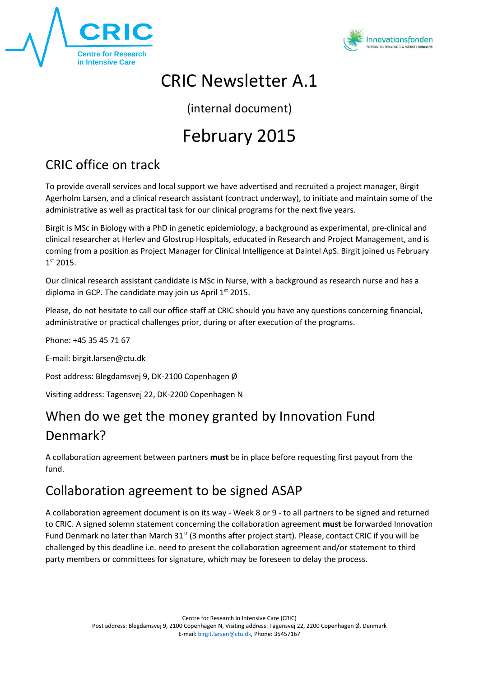



## CRIC Newsletter A.1

(internal document)

# February 2015

## CRIC office on track

To provide overall services and local support we have advertised and recruited a project manager, Birgit Agerholm Larsen, and a clinical research assistant (contract underway), to initiate and maintain some of the administrative as well as practical task for our clinical programs for the next five years.

Birgit is MSc in Biology with a PhD in genetic epidemiology, a background as experimental, pre-clinical and clinical researcher at Herlev and Glostrup Hospitals, educated in Research and Project Management, and is coming from a position as Project Manager for Clinical Intelligence at Daintel ApS. Birgit joined us February 1 st 2015.

Our clinical research assistant candidate is MSc in Nurse, with a background as research nurse and has a diploma in GCP. The candidate may join us April  $1<sup>st</sup>$  2015.

Please, do not hesitate to call our office staff at CRIC should you have any questions concerning financial, administrative or practical challenges prior, during or after execution of the programs.

Phone: +45 35 45 71 67

E-mail: birgit.larsen@ctu.dk

Post address: Blegdamsvej 9, DK-2100 Copenhagen Ø

Visiting address: Tagensvej 22, DK-2200 Copenhagen N

### When do we get the money granted by Innovation Fund Denmark?

A collaboration agreement between partners **must** be in place before requesting first payout from the fund.

#### Collaboration agreement to be signed ASAP

A collaboration agreement document is on its way - Week 8 or 9 - to all partners to be signed and returned to CRIC. A signed solemn statement concerning the collaboration agreement **must** be forwarded Innovation Fund Denmark no later than March 31<sup>st</sup> (3 months after project start). Please, contact CRIC if you will be challenged by this deadline i.e. need to present the collaboration agreement and/or statement to third party members or committees for signature, which may be foreseen to delay the process.